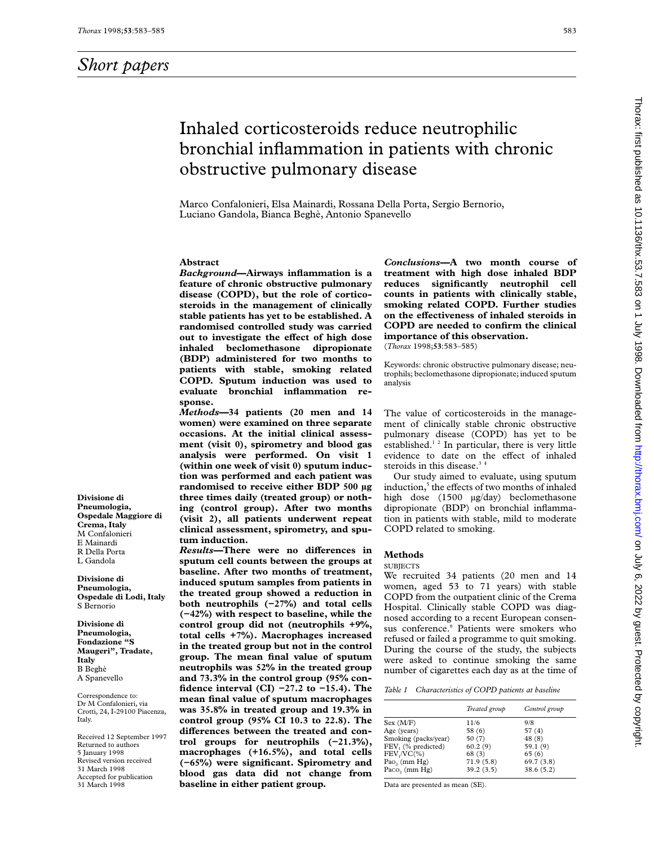**Divisione di Pneumologia, Ospedale Maggiore di Crema, Italy** M Confalonieri E Mainardi R Della Porta L Gandola **Divisione di Pneumologia, Ospedale di Lodi, Italy**

S Bernorio **Divisione di Pneumologia, Fondazione "S Maugeri", Tradate,**

**Italy** B Beghè A Spanevello Correspondence to: Dr M Confalonieri, via Crotti, 24, I-29100 Piacenza,

Italy.

Received 12 September 1997 Returned to authors 5 January 1998 Revised version received 31 March 1998 Accepted for publication 31 March 1998

# Inhaled corticosteroids reduce neutrophilic bronchial inflammation in patients with chronic obstructive pulmonary disease

Marco Confalonieri, Elsa Mainardi, Rossana Della Porta, Sergio Bernorio, Luciano Gandola, Bianca Beghè, Antonio Spanevello

# **Abstract**

*Background***—Airways inflammation is a feature of chronic obstructive pulmonary disease (COPD), but the role of corticosteroids in the management of clinically stable patients has yet to be established. A randomised controlled study was carried out to investigate the effect of high dose inhaled beclomethasone dipropionate (BDP) administered for two months to patients with stable, smoking related COPD. Sputum induction was used to evaluate bronchial inflammation response.**

*Methods***—34 patients (20 men and 14 women) were examined on three separate occasions. At the initial clinical assessment (visit 0), spirometry and blood gas analysis were performed. On visit 1 (within one week of visit 0) sputum induction was performed and each patient was randomised to receive either BDP 500 µg three times daily (treated group) or nothing (control group). After two months (visit 2), all patients underwent repeat clinical assessment, spirometry, and sputum induction.**

 $Results$ —**There were no differences in sputum cell counts between the groups at baseline. After two months of treatment, induced sputum samples from patients in the treated group showed a reduction in both neutrophils (−27%) and total cells (−42%) with respect to baseline, while the control group did not (neutrophils +9%, total cells +7%). Macrophages increased in the treated group but not in the control group. The mean final value of sputum neutrophils was 52% in the treated group and 73.3% in the control group (95% confidence interval (CI) −27.2 to −15.4). The mean final value of sputum macrophages was 35.8% in treated group and 19.3% in control group (95% CI 10.3 to 22.8). The** differences between the treated and con**trol groups for neutrophils (−21.3%), macrophages (+16.5%), and total cells (−65%) were significant. Spirometry and blood gas data did not change from baseline in either patient group.**

*Conclusions***—A two month course of treatment with high dose inhaled BDP reduces significantly neutrophil cell counts in patients with clinically stable, smoking related COPD. Further studies** on the effectiveness of inhaled steroids in **COPD are needed to confirm the clinical importance of this observation.** (*Thorax* 1998;**53**:583–585)

Keywords: chronic obstructive pulmonary disease; neutrophils; beclomethasone dipropionate; induced sputum analysis

The value of corticosteroids in the management of clinically stable chronic obstructive pulmonary disease (COPD) has yet to be established.<sup>12</sup> In particular, there is very little evidence to date on the effect of inhaled steroids in this disease.<sup>34</sup>

Our study aimed to evaluate, using sputum induction,<sup>5</sup> the effects of two months of inhaled high dose (1500 µg/day) beclomethasone dipropionate (BDP) on bronchial inflammation in patients with stable, mild to moderate COPD related to smoking.

## **Methods**

#### **SUBJECTS**

We recruited 34 patients (20 men and 14 women, aged 53 to 71 years) with stable COPD from the outpatient clinic of the Crema Hospital. Clinically stable COPD was diagnosed according to a recent European consensus conference.<sup>6</sup> Patients were smokers who refused or failed a programme to quit smoking. During the course of the study, the subjects were asked to continue smoking the same number of cigarettes each day as at the time of

|  | Table 1 Characteristics of COPD patients at baseline |  |  |  |
|--|------------------------------------------------------|--|--|--|
|--|------------------------------------------------------|--|--|--|

|                             | Treated group | Control group |
|-----------------------------|---------------|---------------|
| Sex (M/F)                   | 11/6          | 9/8           |
| Age (years)                 | 58 (6)        | 57(4)         |
| Smoking (packs/year)        | 50(7)         | 48 (8)        |
| FEV, (% predicted)          | 60.2(9)       | 59.1(9)       |
| $FEV1/VC$ (%)               | 68(3)         | 65(6)         |
| Pao <sub>2</sub> (mm $Hg$ ) | 71.9(5.8)     | 69.7(3.8)     |
| Paco, $(mm Hg)$             | 39.2(3.5)     | 38.6(5.2)     |

Data are presented as mean (SE).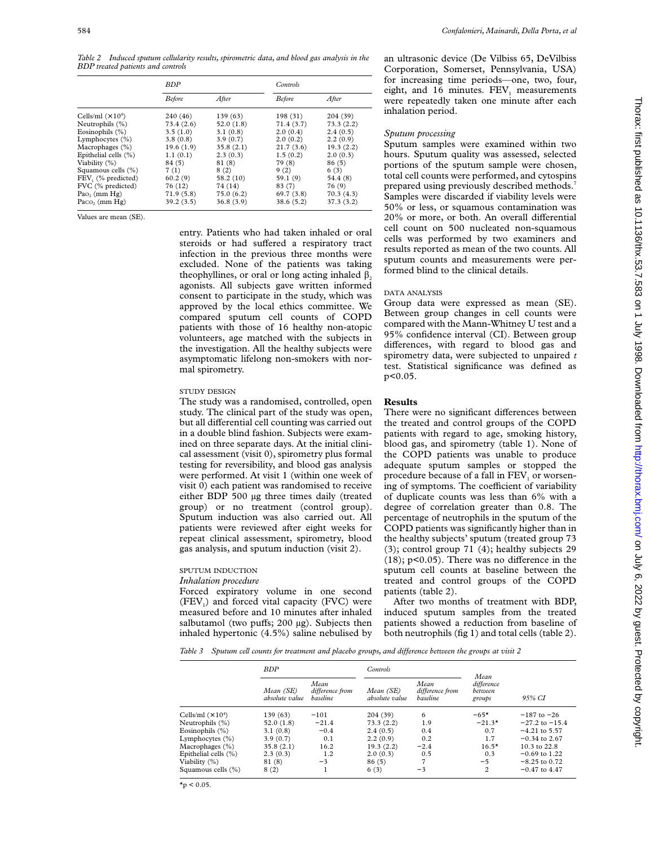*Table 2 Induced sputum cellularity results, spirometric data, and blood gas analysis in the BDP treated patients and controls*

|                                | <b>BDP</b>    |           | <b>Controls</b> |            |  |
|--------------------------------|---------------|-----------|-----------------|------------|--|
|                                | <b>Before</b> | After     | <b>Before</b>   | After      |  |
| Cells/ml $(\times 10^4)$       | 240 (46)      | 139 (63)  | 198(31)         | 204 (39)   |  |
| Neutrophils (%)                | 73.4 (2.6)    | 52.0(1.8) | 71.4(3.7)       | 73.3(2.2)  |  |
| Eosinophils $(\%)$             | 3.5(1.0)      | 3.1(0.8)  | 2.0(0.4)        | 2.4(0.5)   |  |
| Lymphocytes (%)                | 3.8(0.8)      | 3.9(0.7)  | 2.0(0.2)        | 2.2(0.9)   |  |
| Macrophages $(\%)$             | 19.6(1.9)     | 35.8(2.1) | 21.7(3.6)       | 19.3(2.2)  |  |
| Epithelial cells (%)           | 1.1(0.1)      | 2.3(0.3)  | 1.5(0.2)        | 2.0(0.3)   |  |
| Viability $(\%)$               | 84(5)         | 81 (8)    | 79 (8)          | 86(5)      |  |
| Squamous cells (%)             | 7(1)          | 8(2)      | 9(2)            | 6(3)       |  |
| FEV <sub>1</sub> (% predicted) | 60.2(9)       | 58.2(10)  | 59.1(9)         | 54.4 (8)   |  |
| FVC (% predicted)              | 76 (12)       | 74 (14)   | 83 (7)          | 76 (9)     |  |
| $P_{40}$ (mm $Hg$ )            | 71.9(5.8)     | 75.0(6.2) | 69.7 (3.8)      | 70.3(4.3)  |  |
| Paco, (mm Hg)                  | 39.2(3.5)     | 36.8(3.9) | 38.6(5.2)       | 37.3 (3.2) |  |

Values are mean (SE).

entry. Patients who had taken inhaled or oral steroids or had suffered a respiratory tract infection in the previous three months were excluded. None of the patients was taking theophyllines, or oral or long acting inhaled  $\beta_2$ agonists. All subjects gave written informed consent to participate in the study, which was approved by the local ethics committee. We compared sputum cell counts of COPD patients with those of 16 healthy non-atopic volunteers, age matched with the subjects in the investigation. All the healthy subjects were asymptomatic lifelong non-smokers with normal spirometry.

## STUDY DESIGN

The study was a randomised, controlled, open study. The clinical part of the study was open, but all differential cell counting was carried out in a double blind fashion. Subjects were examined on three separate days. At the initial clinical assessment (visit 0), spirometry plus formal testing for reversibility, and blood gas analysis were performed. At visit 1 (within one week of visit 0) each patient was randomised to receive either BDP 500 µg three times daily (treated group) or no treatment (control group). Sputum induction was also carried out. All patients were reviewed after eight weeks for repeat clinical assessment, spirometry, blood gas analysis, and sputum induction (visit 2).

## SPUTUM INDUCTION

# *Inhalation procedure*

Forced expiratory volume in one second  $(FEV<sub>1</sub>)$  and forced vital capacity  $(FVC)$  were measured before and 10 minutes after inhaled salbutamol (two puffs;  $200 \text{ µg}$ ). Subjects then inhaled hypertonic (4.5%) saline nebulised by

an ultrasonic device (De Vilbiss 65, DeVilbiss Corporation, Somerset, Pennsylvania, USA) for increasing time periods—one, two, four, eight, and 16 minutes.  $FEV<sub>1</sub>$  measurements were repeatedly taken one minute after each inhalation period.

### *Sputum processing*

Sputum samples were examined within two hours. Sputum quality was assessed, selected portions of the sputum sample were chosen, total cell counts were performed, and cytospins prepared using previously described methods.7 Samples were discarded if viability levels were 50% or less, or squamous contamination was 20% or more, or both. An overall differential cell count on 500 nucleated non-squamous cells was performed by two examiners and results reported as mean of the two counts. All sputum counts and measurements were performed blind to the clinical details.

## DATA ANALYSIS

Group data were expressed as mean (SE). Between group changes in cell counts were compared with the Mann-Whitney U test and a 95% confidence interval (CI). Between group differences, with regard to blood gas and spirometry data, were subjected to unpaired *t* test. Statistical significance was defined as  $p < 0.05$ .

### **Results**

There were no significant differences between the treated and control groups of the COPD patients with regard to age, smoking history, blood gas, and spirometry (table 1). None of the COPD patients was unable to produce adequate sputum samples or stopped the procedure because of a fall in  $FEV<sub>1</sub>$  or worsening of symptoms. The coefficient of variability of duplicate counts was less than 6% with a degree of correlation greater than 0.8. The percentage of neutrophils in the sputum of the COPD patients was significantly higher than in the healthy subjects' sputum (treated group 73 (3); control group 71 (4); healthy subjects 29  $(18)$ ; p<0.05). There was no difference in the sputum cell counts at baseline between the treated and control groups of the COPD patients (table 2).

After two months of treatment with BDP, induced sputum samples from the treated patients showed a reduction from baseline of both neutrophils (fig 1) and total cells (table 2).

*Table 3 Sputum cell counts for treatment and placebo groups, and difference between the groups at visit 2* 

|                          | <b>BDP</b>                  |                                     | <i>Controls</i>             |                                     |                                         |                         |
|--------------------------|-----------------------------|-------------------------------------|-----------------------------|-------------------------------------|-----------------------------------------|-------------------------|
|                          | Mean (SE)<br>absolute value | Mean<br>difference from<br>baseline | Mean (SE)<br>absolute value | Mean<br>difference from<br>baseline | Mean<br>difference<br>between<br>groups | 95% CI                  |
| Cells/ml $(\times 10^4)$ | 139(63)                     | $-101$                              | 204(39)                     | 6                                   | $-65*$                                  | $-187$ to $-26$         |
| Neutrophils (%)          | 52.0(1.8)                   | $-21.4$                             | 73.3(2.2)                   | 1.9                                 | $-21.3*$                                | $-27.2$ to $-15.4$      |
| Eosinophils $(\%)$       | 3.1(0.8)                    | $-0.4$                              | 2.4(0.5)                    | 0.4                                 | 0.7                                     | $-4.21$ to 5.57         |
| Lymphocytes $(\%)$       | 3.9(0.7)                    | 0.1                                 | 2.2(0.9)                    | 0.2                                 | 1.7                                     | $-0.34$ to 2.67         |
| Macrophages (%)          | 35.8(2.1)                   | 16.2                                | 19.3(2.2)                   | $-2.4$                              | $16.5*$                                 | $10.3 \text{ to } 22.8$ |
| Epithelial cells (%)     | 2.3(0.3)                    | 1.2                                 | 2.0(0.3)                    | 0.5                                 | 0.3                                     | $-0.69$ to 1.22         |
| Viability (%)            | 81 (8)                      | $-3$                                | 86(5)                       | 7                                   | $-5$                                    | $-8.25$ to 0.72         |
| Squamous cells (%)       | 8(2)                        |                                     | 6(3)                        | $-3$                                | $\overline{c}$                          | $-0.47$ to 4.47         |